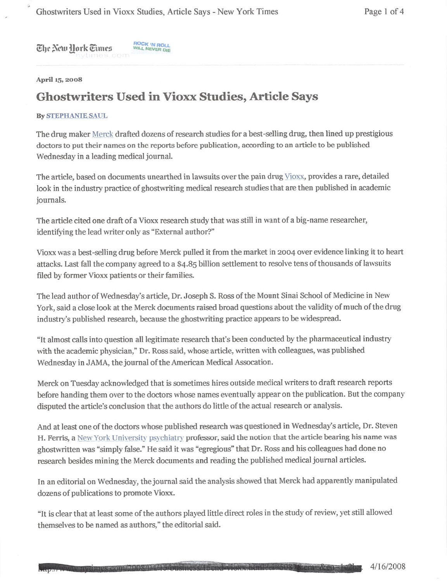**ROCK IN ROLL**<br>WILL NEVER DIE The New Hork Times

## April 15,2008

## Ghostwriters Used in Vioxx Studies, Article Says

## By STEPHANIE SAUI.

The drug maker Merck drafted dozens of research studies for a best-selling drug, then lined up prestigious doctors to put their names on the reports before publication, according to an article to be published Wednesday in a leading medical journal.

The article, based on documents unearthed in lawsuits over the pain drug Vioxx, provides a rare, detailed look in the industry practice of ghostwriting medical research studies that are then published in academic journals.

The article cited one draft of a Vioxx research study that was still in want of a big-name researcher, identifying the lead writer only as "External author?"

Vioxx was a best-selling drug before Merck pulled it from the market in 2004 over evidence linking it to heart attacks. Last fall the company agreed to a \$4.85 billion settlement to resolve tens of thousands of lawsuits filed by former Vioxx patients or their families.

The lead author of Wednesday's article. Dr. Joseph S. Ross of the Mount Sinai School of Medicine in New York, said a close look at the Merck documents raised broad questions about the validity of much of the drug industry's published research, because the ghostwriting practice appears to be widespread.

"It almost calls into question all legitimate research that's been conducted by the pharmaceutical industry with the academic physician," Dr. Ross said, whose article, written with colleagues, was published Wednesday in JAMA, the journal of the American Medical Assocation.

Merck on Tuesday acknowledged that is sometimes hires outside medical writers to draft research reports before handing them over to the doctors whose names eventually appear on the publication. But the company disputed the article's conclusion that the authors do little of the actual research or analysis.

And at least one of the doctors whose published research was questioned in Wednesday's article, Dr. Steven H. Ferris, a New York University psychiatry professor, said the notion that the article bearing his name was ghostwritten was "simply false." He said it was "egregious" that Dr. Ross and his colleagues had done no research besides mining the Merck documents and reading the published medical journal articles.

In an editorial on Wednesday, the journal said the analysis showed that Merck had apparently manipulated dozens of publications to promote Vioxx.

"It is clear that at least some of the authors played little direct roles in the study of review, yet still allowed themselves to be named as authors," the editorial said.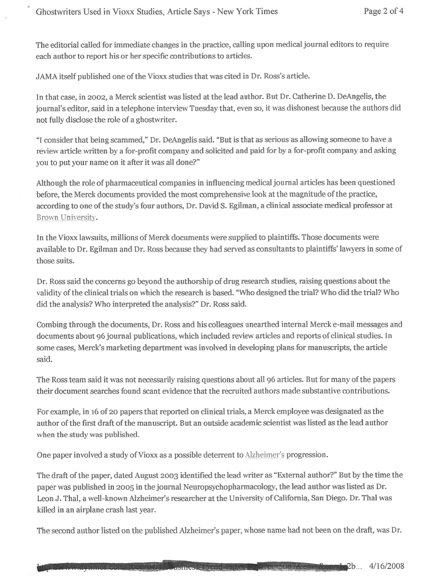The editorial called for immediate changes in the practice, calling upon medical journal editors to require each author to report his or her specific contributions to articles.

JAMA itself published one of the Vioxx studiesthat was cited in Dr. Ross's article.

In that case, in 2002, a Merck scientist was listed at the lead author. But Dr. Catherine D. DeAngelis, the journal's editor, said in a telephone interview Tuesday that, even so, it was dishonest because the authors did not fully disclose the role of a ghostwriter.

"I consider that being scammed," Dr. DeAngelis said. "But is that as serious as allowing someone to have a review article written by a for-profit company and solicited and paid for by a for-profit company and asking you to put your name on it after it was all done?"

Although the role of pharmaceutical companies in influencing medical journal articles has been questioned before, the Merck documents provided the most comprehensive look at the magnitude of the practice, according to one of the study's four authors, Dr. David S. Egilman, a clinical associate medical professor at Brown University

In the Vioxx lawsuits, millions of Merck documents were supplied to plaintiffs. Those documents were available to Dr. Egilman and Dr. Ross because they had served as consultants to plaintiffs' lawyers in some of those suits.

Dr. Ross said the concerns go beyond the authorship of drug research studies, raising questions about the validity of the clinical trials on which the research is based. "Who designed the trial? Who did the trial? Who did the analysis? Who interpreted the analysis?" Dr. Ross said.

Combing through the documents. Dr. Ross and his colleagues unearthed internal Merck e-mail messages and documents about 96 journal publications, which included review articles and reports of clinical studies. In some cases, Merck's marketing department was involved in developing plans for manuscripts, the article said.

The Ross team said it was not necessarily raising questions about all 96 articles. But for many of the papers their document searches found scant evidence that the recruited authors made substantive contributions.

For example, in 16 of 20 papers that reported on clinical trials, a Merck employee was designated as the author of the first draft of the manuscript. But an outside academic scientist was listed as the lead author when the study was published.

One paper involved a study of Vioxx as a possible deterrent to Alzheimer's progression.

The draft of the paper, dated August 2003 identified the lead writer as "External author?" But by the time the paper was published in 2005 in the journal Neuropsychopharmacology, the lead author was listed as Dr. Leon J. Thal, a well-known Alzheimer's researcher at the University of California, San Diego. Dr. Thal was killed in an airplane crash last year.

The second author listed on the published Alzheimer's paper, whose name had not been on the draft, was Dr.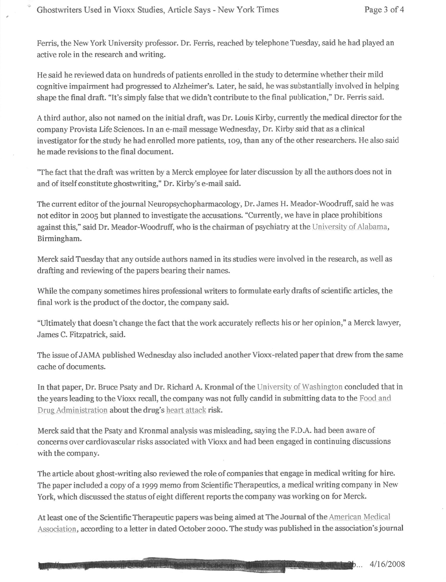Ferris, the New York University professor. Dr. Ferris, reached by telephone Tuesday, said he had played an active role in the research and writing.

He said he reviewed data on hundreds of patients enrolled in the study to determine whether their mild cognitive impairment had progressed to Alzheimer's. Later, he said, he was substantially involved in helping shape the final draft. "It'ssimply false that we didn't contribute to the final publication," Dr. Ferris said.

A third author, also not named on the initial draft, was Dr. Louis Kirby, currently the medical director for the company Provista Life Sciences. In an e-mail message Wednesday, Dr. Kirby said that as a clinical investigator for the study he had enrolled more patients, 109, than any of the other researchers. He also said he made revisions to the final document.

"The fact that the draft was written by a Merck employee for later discussion by all the authors does not in and of itself constitute ghostwriting," Dr. Kirby's e-mail said.

The current editor of the journal Neuropsychopharmacology, Dr.James H. Meador-Woodruff, said he was not editor in 2005 but planned to investigate the accusations. "Currently, we have in place prohibitions against this," said Dr. Meador-Woodruff, who is the chairman of psychiatry at the University of Alabama, Birmingham.

Merck said Tuesday that any outside authors named in its studies were involved in the research, as well as drafting and reviewing of the papers bearing their names.

While the company sometimes hires professional writers to formulate early drafts of scientific articles, the final work is the product of the doctor, the company said.

"Ultimately that doesn't change the fact that the work accurately reflects his or her opinion," a Merck lawyer, James C. Fitzpatrick, said.

The issue of JAMA published Wednesday also included another Vioxx-related paper that drew from the same cache of documents.

In that paper, Dr. Bruce Psaty and Dr. Richard A. Kronmal of the University of Washington concluded that in the years leading to the Vioxx recall, the company was not fully candid in submitting data to the Food and Drug Administration about the drug's heart attack risk.

Merck said that the Psaty and Kronmal analysis was misleading, saying the F.DA. had been aware of concerns over cardiovascular risks associated with Vioxx and had been engaged in continuing discussions with the company.

The article about ghost-writing also reviewed the role of companiesthat engage in medical writing for hire. The paper included a copy of a 1999 memo from Scientific Therapeutics, a medical writing company in New York, which discussed the status of eight different reports the company was working on for Merck.

Atleast one of the Scientific Therapeutic papers was being aimed at The Journal ofthe American Medical Association,according to a letter in dated October 2000. The study was published in the association's journal